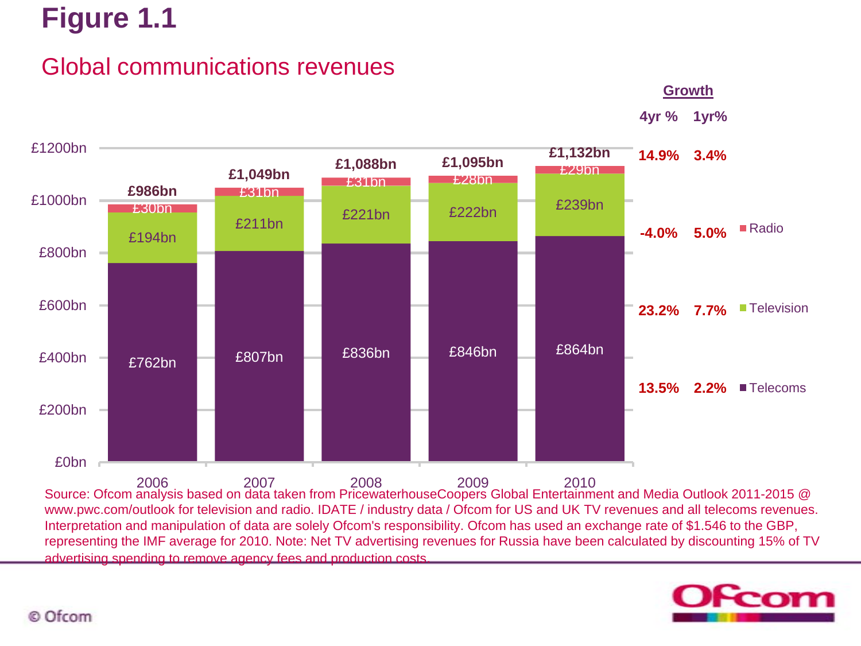## Global communications revenues

**Growth**

**4yr % 1yr%**



Source: Ofcom analysis based on data taken from PricewaterhouseCoopers Global Entertainment and Media Outlook 2011-2015 @ www.pwc.com/outlook for television and radio. IDATE / industry data / Ofcom for US and UK TV revenues and all telecoms revenues. Interpretation and manipulation of data are solely Ofcom's responsibility. Ofcom has used an exchange rate of \$1.546 to the GBP, representing the IMF average for 2010. Note: Net TV advertising revenues for Russia have been calculated by discounting 15% of TV advertising spending to remove agency fees and production costs.

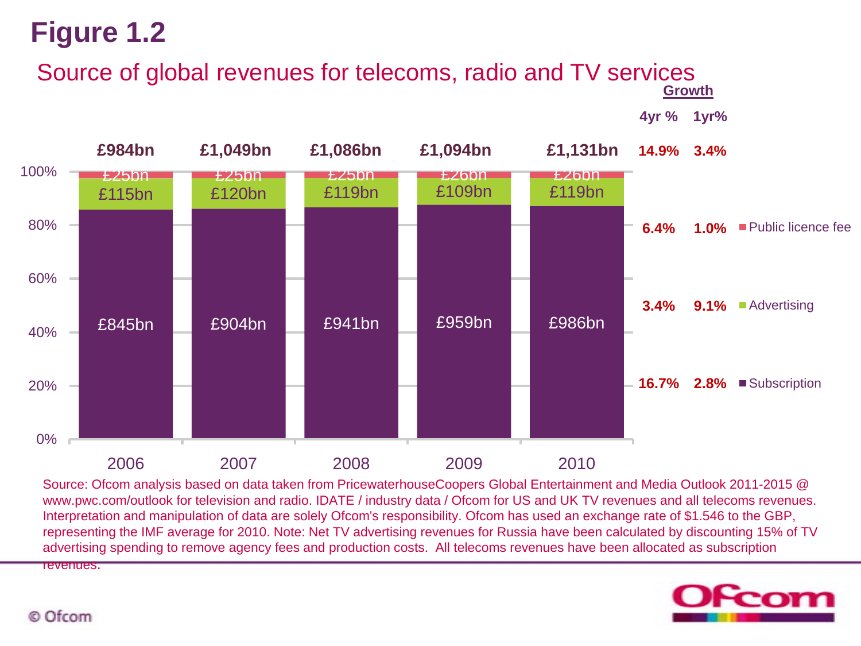# Source of global revenues for telecoms, radio and TV services<br><sup>Growth</sup>

**4yr % 1yr%**



Source: Ofcom analysis based on data taken from PricewaterhouseCoopers Global Entertainment and Media Outlook 2011-2015 @ www.pwc.com/outlook for television and radio. IDATE / industry data / Ofcom for US and UK TV revenues and all telecoms revenues. Interpretation and manipulation of data are solely Ofcom's responsibility. Ofcom has used an exchange rate of \$1.546 to the GBP, representing the IMF average for 2010. Note: Net TV advertising revenues for Russia have been calculated by discounting 15% of TV advertising spending to remove agency fees and production costs. All telecoms revenues have been allocated as subscription revenues.

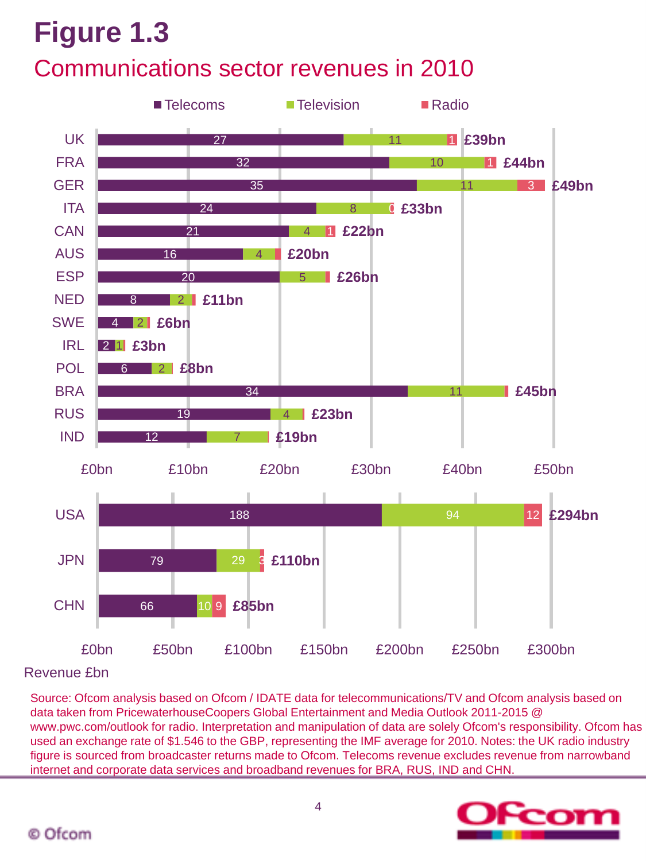## **Figure 1.3** Communications sector revenues in 2010



Revenue £bn

Source: Ofcom analysis based on Ofcom / IDATE data for telecommunications/TV and Ofcom analysis based on data taken from PricewaterhouseCoopers Global Entertainment and Media Outlook 2011-2015 @ www.pwc.com/outlook for radio. Interpretation and manipulation of data are solely Ofcom's responsibility. Ofcom has used an exchange rate of \$1.546 to the GBP, representing the IMF average for 2010. Notes: the UK radio industry figure is sourced from broadcaster returns made to Ofcom. Telecoms revenue excludes revenue from narrowband internet and corporate data services and broadband revenues for BRA, RUS, IND and CHN.

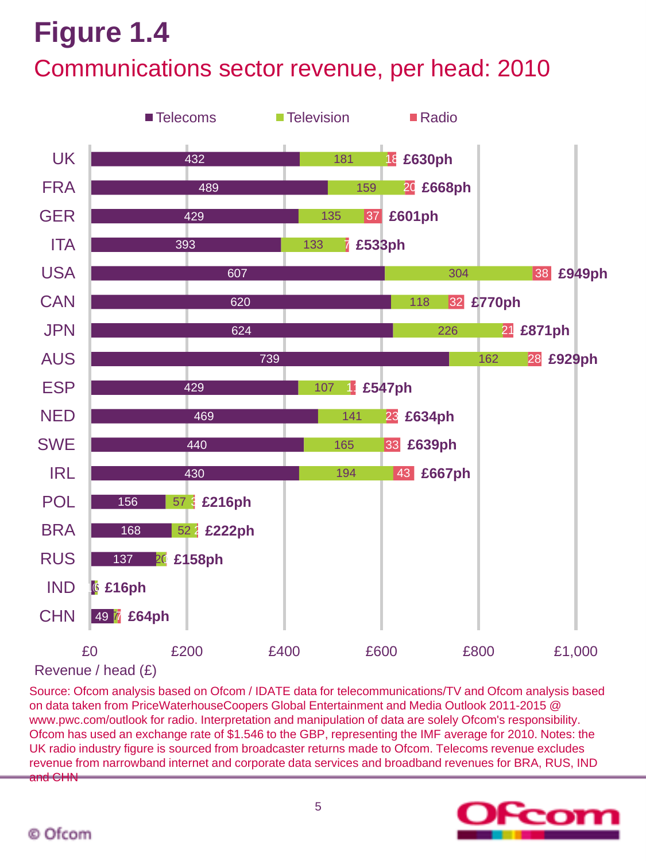### Communications sector revenue, per head: 2010



Revenue / head (£)

Source: Ofcom analysis based on Ofcom / IDATE data for telecommunications/TV and Ofcom analysis based on data taken from PriceWaterhouseCoopers Global Entertainment and Media Outlook 2011-2015 @ www.pwc.com/outlook for radio. Interpretation and manipulation of data are solely Ofcom's responsibility. Ofcom has used an exchange rate of \$1.546 to the GBP, representing the IMF average for 2010. Notes: the UK radio industry figure is sourced from broadcaster returns made to Ofcom. Telecoms revenue excludes revenue from narrowband internet and corporate data services and broadband revenues for BRA, RUS, IND and CHN

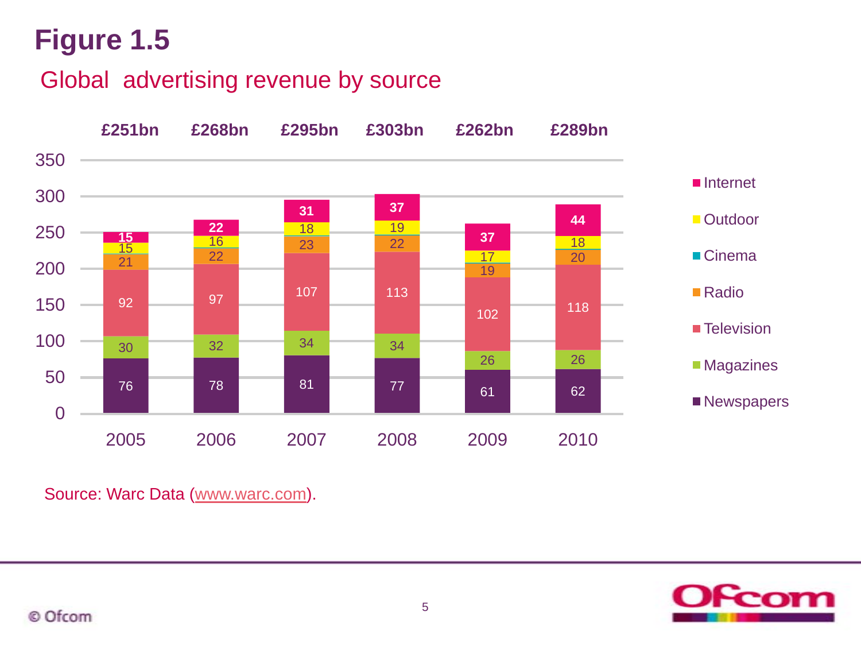Global advertising revenue by source



Source: Warc Data ([www.warc.com](http://www.warc.com/)).

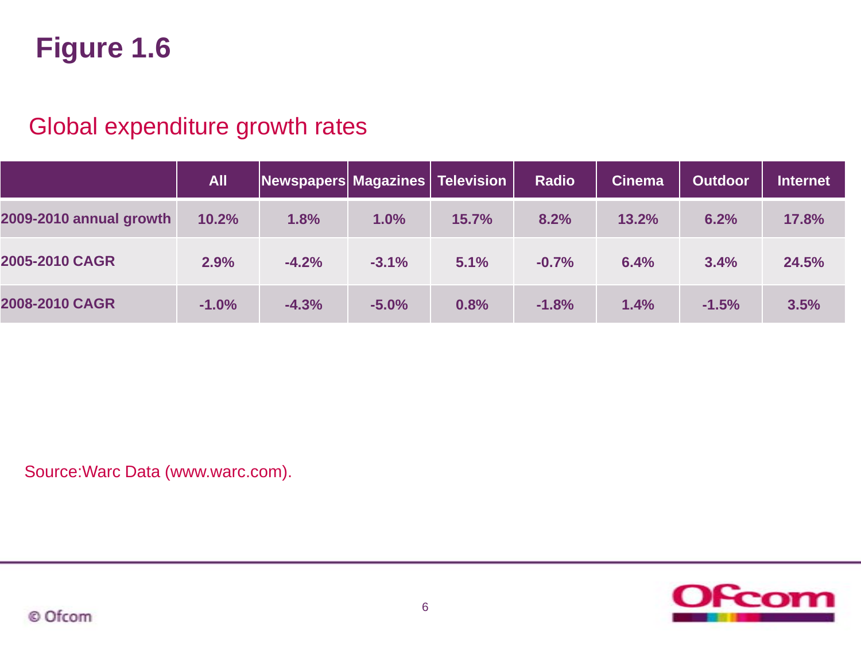### Global expenditure growth rates

|                         | <b>All</b> | Newspapers Magazines   Television |         |       | <b>Radio</b> | <b>Cinema</b> | <b>Outdoor</b> | <b>Internet</b> |
|-------------------------|------------|-----------------------------------|---------|-------|--------------|---------------|----------------|-----------------|
| 2009-2010 annual growth | 10.2%      | 1.8%                              | 1.0%    | 15.7% | 8.2%         | 13.2%         | 6.2%           | 17.8%           |
| 2005-2010 CAGR          | 2.9%       | $-4.2%$                           | $-3.1%$ | 5.1%  | $-0.7%$      | 6.4%          | 3.4%           | 24.5%           |
| 2008-2010 CAGR          | $-1.0%$    | $-4.3%$                           | $-5.0%$ | 0.8%  | $-1.8%$      | 1.4%          | $-1.5%$        | 3.5%            |

Source:Warc Data (www.warc.com).

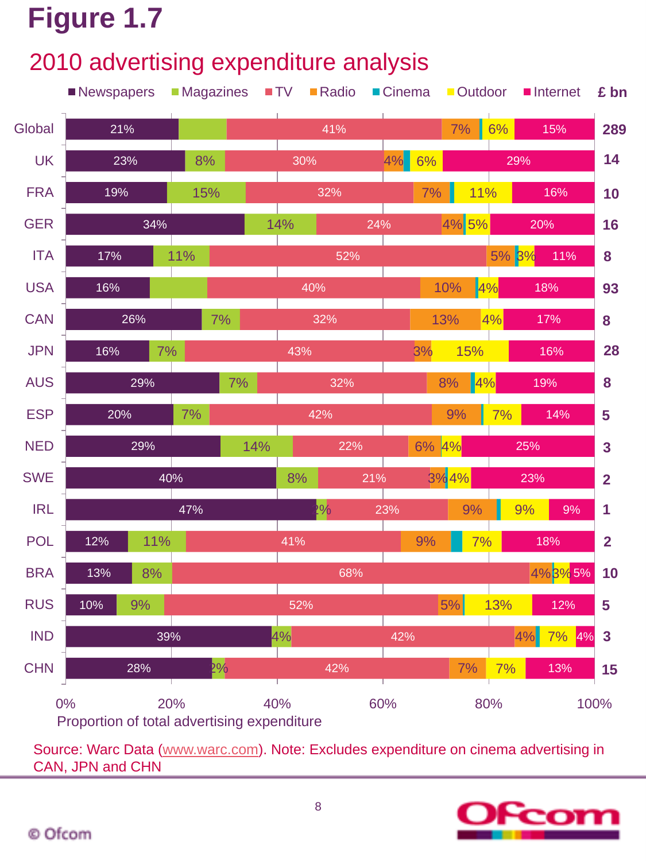## 2010 advertising expenditure analysis



Source: Warc Data [\(www.warc.com](http://www.warc.com/)). Note: Excludes expenditure on cinema advertising in CAN, JPN and CHN

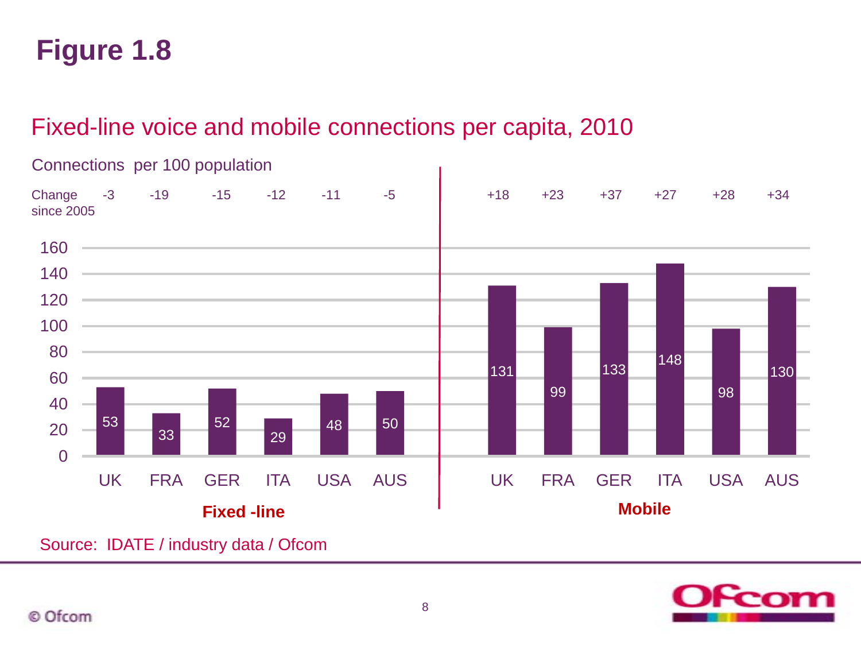### Fixed-line voice and mobile connections per capita, 2010



#### Connections per 100 population

Source: IDATE / industry data / Ofcom

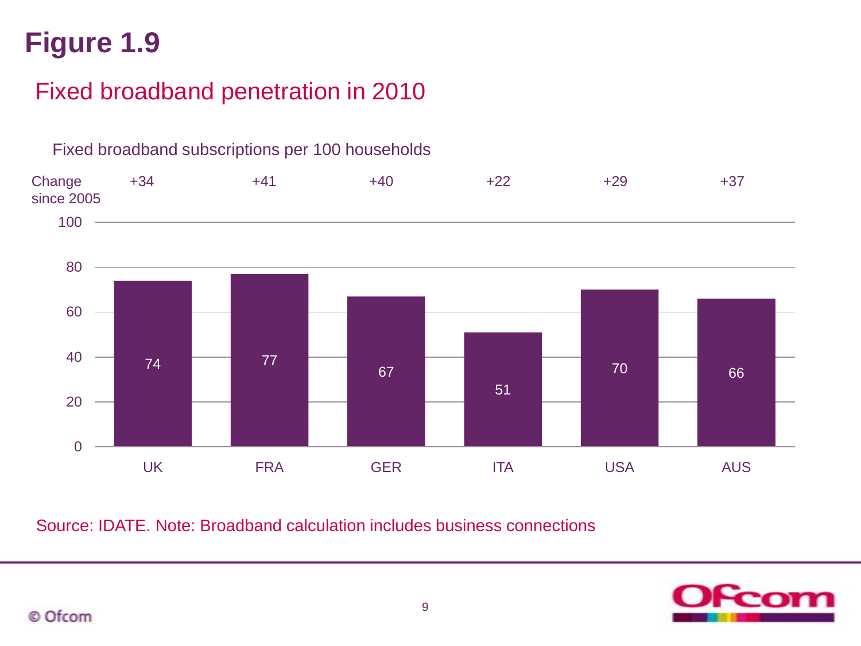## Fixed broadband penetration in 2010



Fixed broadband subscriptions per 100 households

Source: IDATE. Note: Broadband calculation includes business connections

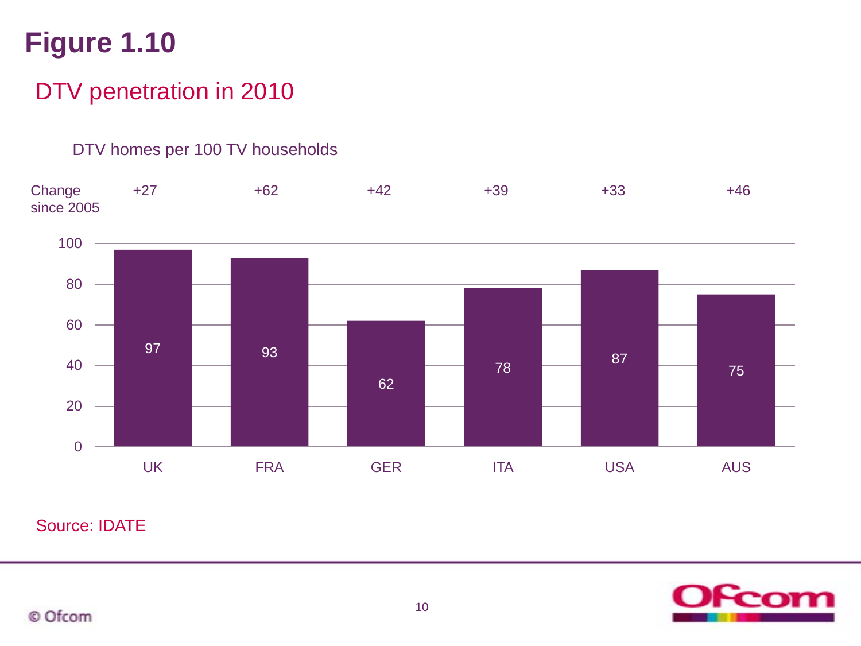## DTV penetration in 2010

#### DTV homes per 100 TV households



Source: IDATE

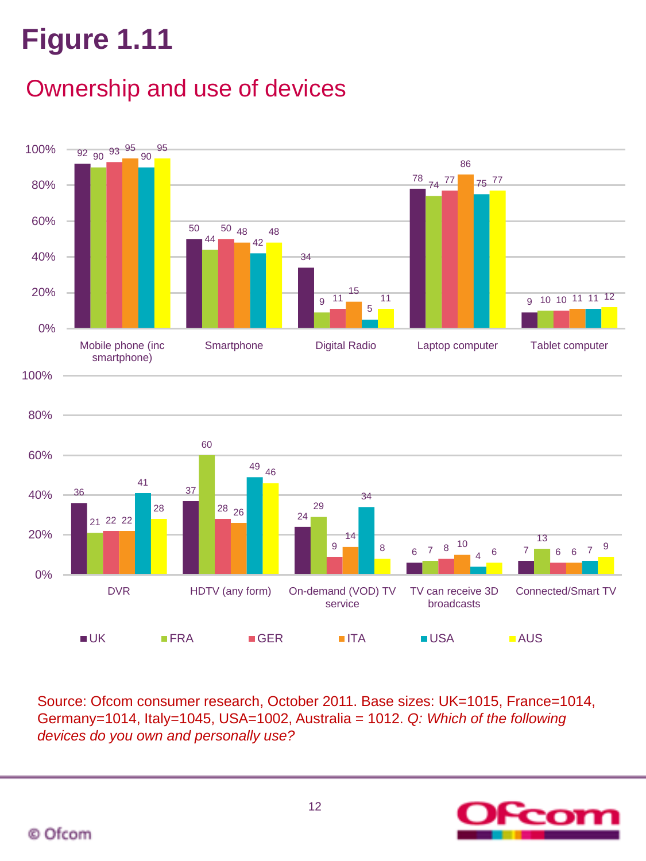## Ownership and use of devices



Source: Ofcom consumer research, October 2011. Base sizes: UK=1015, France=1014, Germany=1014, Italy=1045, USA=1002, Australia = 1012. *Q: Which of the following devices do you own and personally use?* 

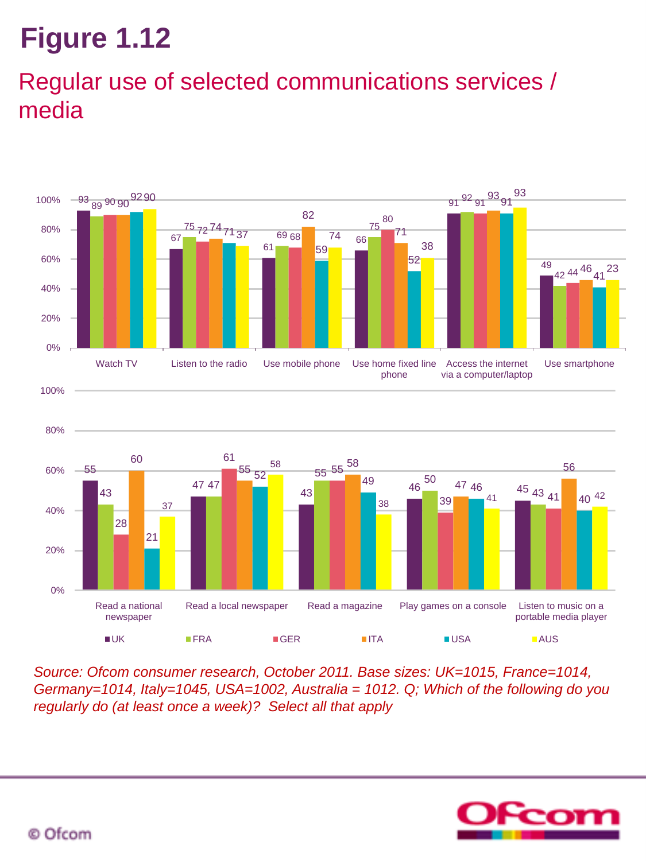## Regular use of selected communications services / media



*Source: Ofcom consumer research, October 2011. Base sizes: UK=1015, France=1014, Germany=1014, Italy=1045, USA=1002, Australia = 1012. Q; Which of the following do you regularly do (at least once a week)? Select all that apply*

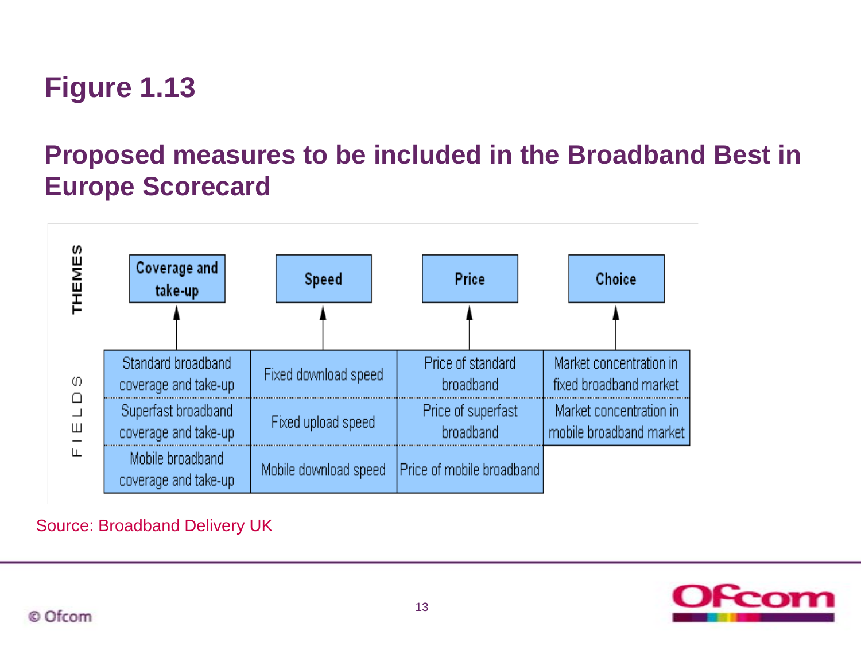## **Proposed measures to be included in the Broadband Best in Europe Scorecard**



#### Source: Broadband Delivery UK

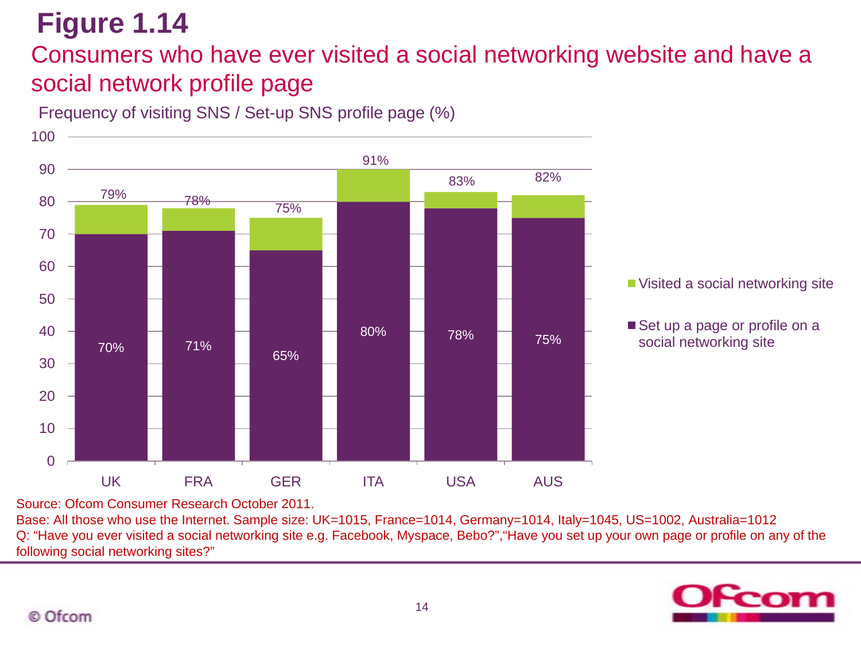### Consumers who have ever visited a social networking website and have a social network profile page

Frequency of visiting SNS / Set-up SNS profile page (%)



Source: Ofcom Consumer Research October 2011.

Base: All those who use the Internet. Sample size: UK=1015, France=1014, Germany=1014, Italy=1045, US=1002, Australia=1012 Q: "Have you ever visited a social networking site e.g. Facebook, Myspace, Bebo?","Have you set up your own page or profile on any of the following social networking sites?"

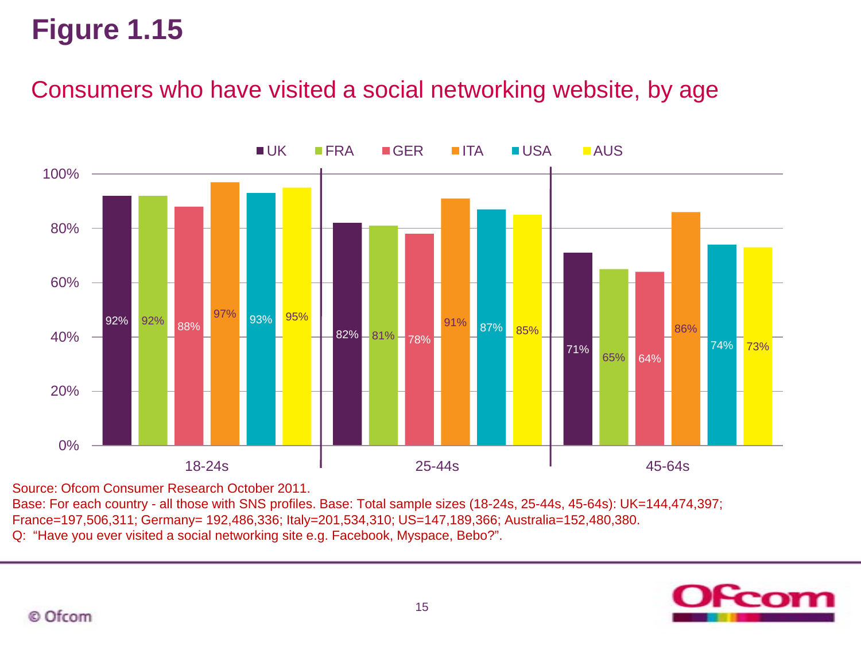### Consumers who have visited a social networking website, by age



Source: Ofcom Consumer Research October 2011.

Base: For each country - all those with SNS profiles. Base: Total sample sizes (18-24s, 25-44s, 45-64s): UK=144,474,397; France=197,506,311; Germany= 192,486,336; Italy=201,534,310; US=147,189,366; Australia=152,480,380. Q: "Have you ever visited a social networking site e.g. Facebook, Myspace, Bebo?".

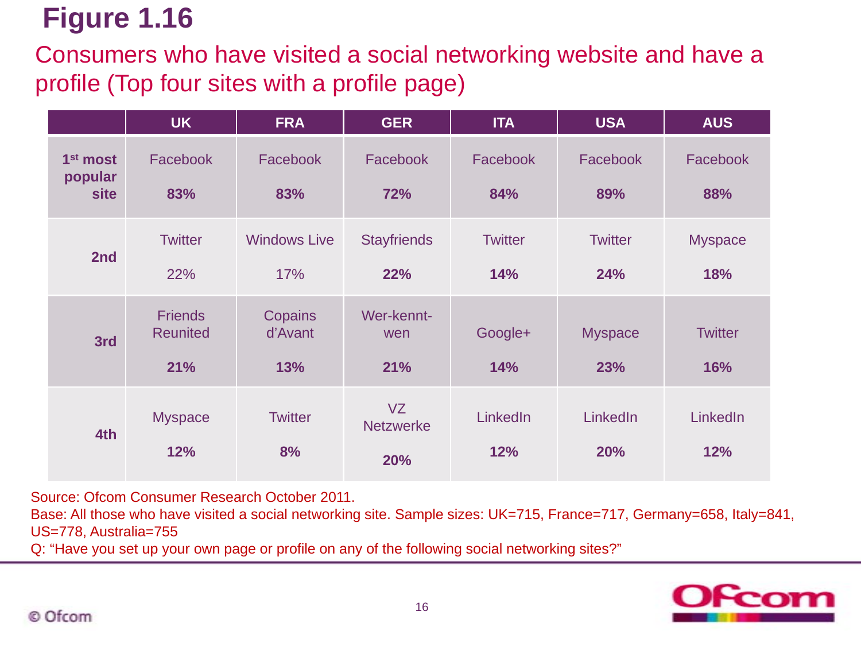Consumers who have visited a social networking website and have a profile (Top four sites with a profile page)

|                                                | <b>UK</b>                                | <b>FRA</b>                 | <b>GER</b>                    | <b>ITA</b>            | <b>USA</b>            | <b>AUS</b>            |
|------------------------------------------------|------------------------------------------|----------------------------|-------------------------------|-----------------------|-----------------------|-----------------------|
| 1 <sup>st</sup> most<br>popular<br><b>site</b> | Facebook<br>83%                          | Facebook<br>83%            | Facebook<br>72%               | Facebook<br>84%       | Facebook<br>89%       | Facebook<br>88%       |
| 2nd                                            | <b>Twitter</b><br>22%                    | <b>Windows Live</b><br>17% | <b>Stayfriends</b><br>22%     | <b>Twitter</b><br>14% | <b>Twitter</b><br>24% | <b>Myspace</b><br>18% |
| 3rd                                            | <b>Friends</b><br><b>Reunited</b><br>21% | Copains<br>d'Avant<br>13%  | Wer-kennt-<br>wen<br>21%      | Google+<br>14%        | <b>Myspace</b><br>23% | <b>Twitter</b><br>16% |
| 4th                                            | <b>Myspace</b><br>12%                    | <b>Twitter</b><br>8%       | VZ<br><b>Netzwerke</b><br>20% | LinkedIn<br>12%       | LinkedIn<br>20%       | LinkedIn<br>12%       |

Source: Ofcom Consumer Research October 2011.

Base: All those who have visited a social networking site. Sample sizes: UK=715, France=717, Germany=658, Italy=841, US=778, Australia=755

Q: "Have you set up your own page or profile on any of the following social networking sites?"

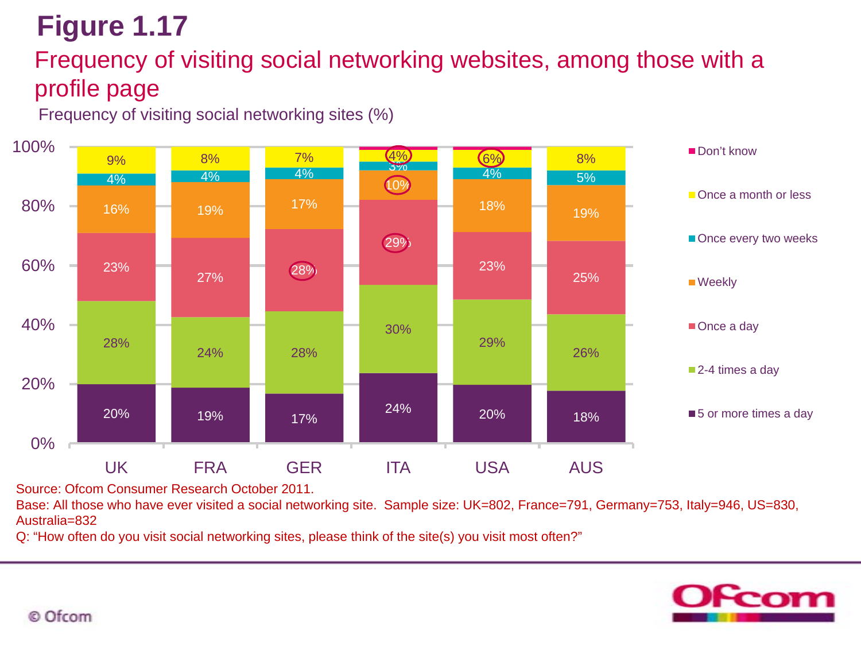## Frequency of visiting social networking websites, among those with a profile page

Frequency of visiting social networking sites (%)



Source: Ofcom Consumer Research October 2011.

Base: All those who have ever visited a social networking site. Sample size: UK=802, France=791, Germany=753, Italy=946, US=830, Australia=832

Q: "How often do you visit social networking sites, please think of the site(s) you visit most often?"

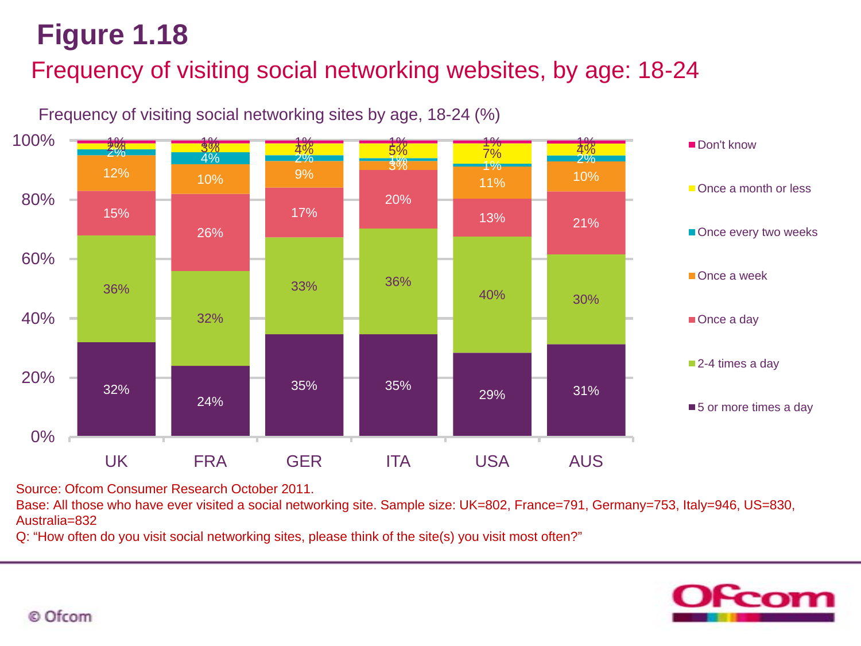## Frequency of visiting social networking websites, by age: 18-24



Frequency of visiting social networking sites by age, 18-24 (%)

Source: Ofcom Consumer Research October 2011.

Base: All those who have ever visited a social networking site. Sample size: UK=802, France=791, Germany=753, Italy=946, US=830, Australia=832

Q: "How often do you visit social networking sites, please think of the site(s) you visit most often?"

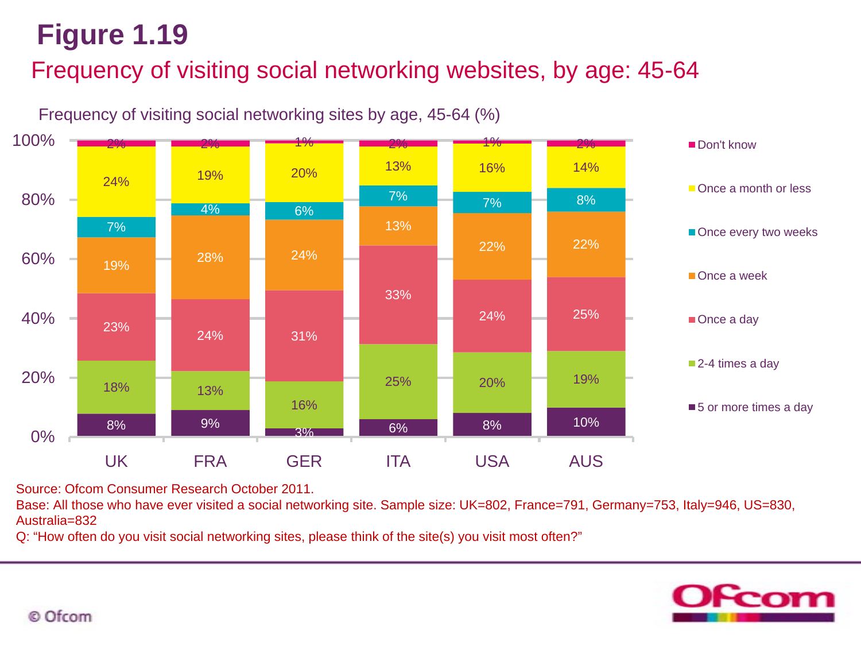## Frequency of visiting social networking websites, by age: 45-64



Frequency of visiting social networking sites by age, 45-64 (%)

Source: Ofcom Consumer Research October 2011.

Base: All those who have ever visited a social networking site. Sample size: UK=802, France=791, Germany=753, Italy=946, US=830, Australia=832

Q: "How often do you visit social networking sites, please think of the site(s) you visit most often?"

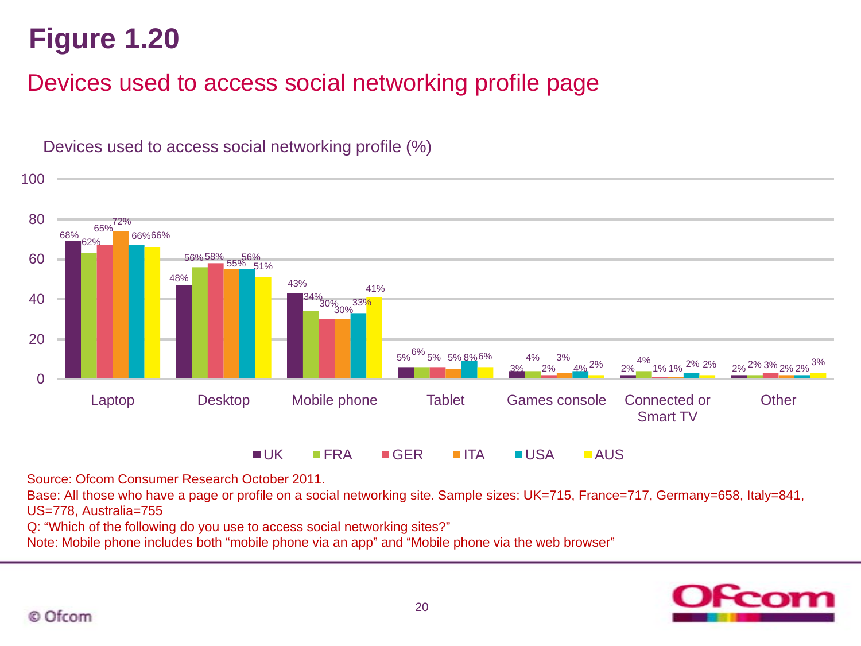## Devices used to access social networking profile page



Devices used to access social networking profile (%)

Source: Ofcom Consumer Research October 2011.

Base: All those who have a page or profile on a social networking site. Sample sizes: UK=715, France=717, Germany=658, Italy=841, US=778, Australia=755

Q: "Which of the following do you use to access social networking sites?"

Note: Mobile phone includes both "mobile phone via an app" and "Mobile phone via the web browser"

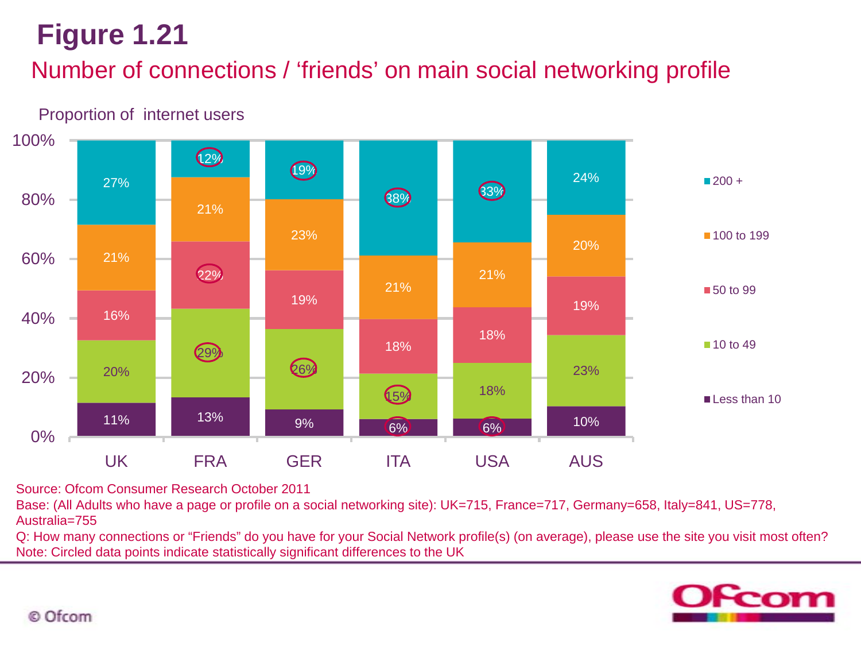## Number of connections / 'friends' on main social networking profile

#### 11% 13% 9% 6% 6% 10% 20% 29% 26% 18% 18% 23% 16% 22% 19% 18% 18% 19% 21% 21% 23% 21% 21% 20% 27%  $\bigcirc$  $\bigcirc$ 88% 3<sup>3</sup> 24% 0% 20% 40% 60% 80% 100% UK FRA GER ITA USA AUS  $200 +$ ■ 100 to 199 ■50 to 99 ■ 10 to 49 Less than 10

Proportion of internet users

Source: Ofcom Consumer Research October 2011

Base: (All Adults who have a page or profile on a social networking site): UK=715, France=717, Germany=658, Italy=841, US=778, Australia=755

Q: How many connections or "Friends" do you have for your Social Network profile(s) (on average), please use the site you visit most often? Note: Circled data points indicate statistically significant differences to the UK

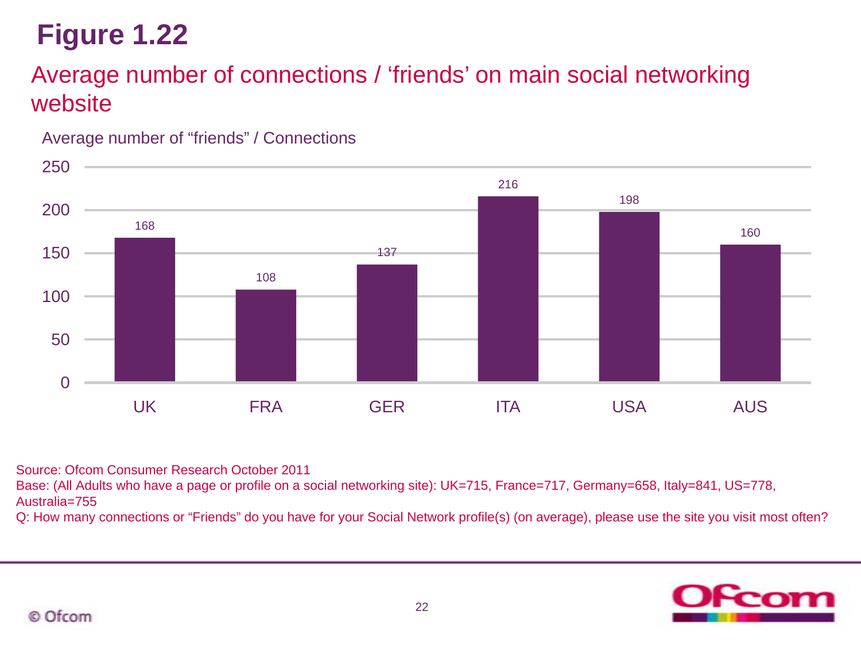## Average number of connections / 'friends' on main social networking website





Source: Ofcom Consumer Research October 2011

Base: (All Adults who have a page or profile on a social networking site): UK=715, France=717, Germany=658, Italy=841, US=778, Australia=755

Q: How many connections or "Friends" do you have for your Social Network profile(s) (on average), please use the site you visit most often?

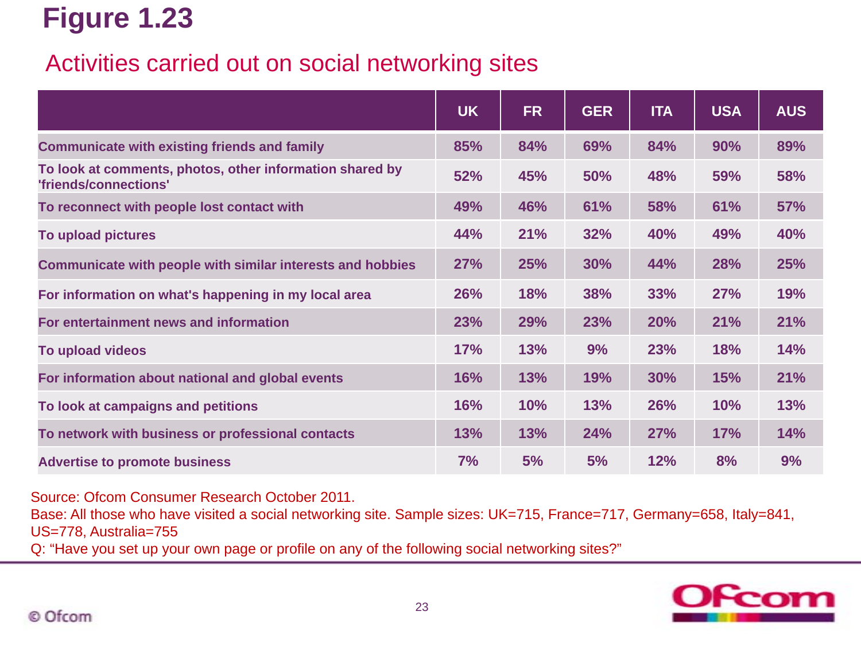### Activities carried out on social networking sites

|                                                                                   | <b>UK</b>  | <b>FR</b>  | <b>GER</b> | <b>ITA</b> | <b>USA</b> | <b>AUS</b> |
|-----------------------------------------------------------------------------------|------------|------------|------------|------------|------------|------------|
| <b>Communicate with existing friends and family</b>                               | 85%        | 84%        | 69%        | 84%        | 90%        | 89%        |
| To look at comments, photos, other information shared by<br>'friends/connections' | 52%        | 45%        | 50%        | 48%        | 59%        | 58%        |
| To reconnect with people lost contact with                                        | 49%        | 46%        | 61%        | 58%        | 61%        | 57%        |
| To upload pictures                                                                | 44%        | 21%        | 32%        | 40%        | 49%        | 40%        |
| Communicate with people with similar interests and hobbies                        | 27%        | <b>25%</b> | 30%        | 44%        | 28%        | <b>25%</b> |
| For information on what's happening in my local area                              | <b>26%</b> | <b>18%</b> | 38%        | 33%        | <b>27%</b> | 19%        |
| For entertainment news and information                                            | 23%        | 29%        | 23%        | 20%        | 21%        | 21%        |
| To upload videos                                                                  | 17%        | 13%        | 9%         | 23%        | 18%        | 14%        |
| For information about national and global events                                  | 16%        | 13%        | 19%        | 30%        | 15%        | 21%        |
| To look at campaigns and petitions                                                | 16%        | 10%        | 13%        | 26%        | 10%        | 13%        |
| To network with business or professional contacts                                 | 13%        | 13%        | 24%        | <b>27%</b> | 17%        | 14%        |
| <b>Advertise to promote business</b>                                              | 7%         | 5%         | 5%         | 12%        | 8%         | 9%         |

Source: Ofcom Consumer Research October 2011.

Base: All those who have visited a social networking site. Sample sizes: UK=715, France=717, Germany=658, Italy=841, US=778, Australia=755

Q: "Have you set up your own page or profile on any of the following social networking sites?"

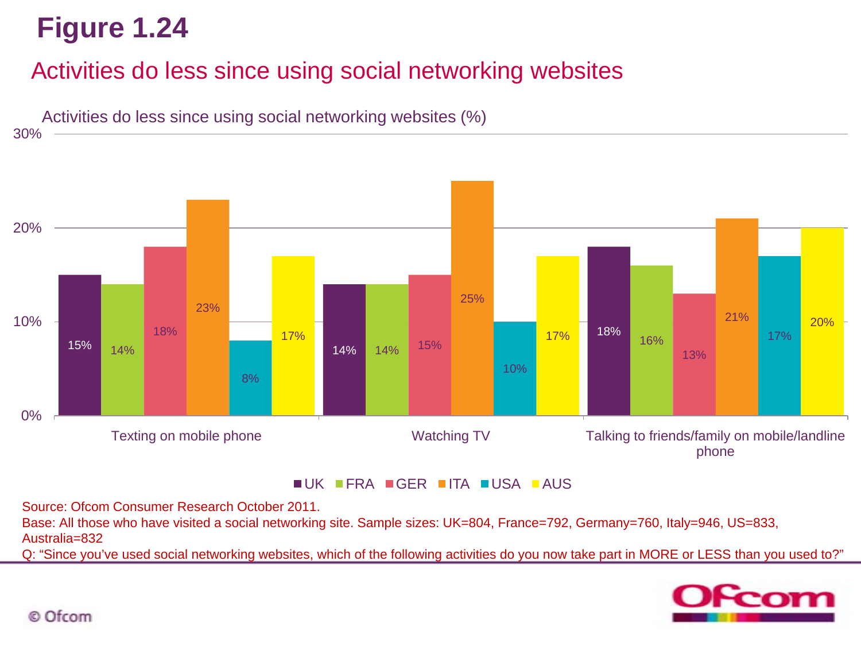## Activities do less since using social networking websites



Source: Ofcom Consumer Research October 2011.

Base: All those who have visited a social networking site. Sample sizes: UK=804, France=792, Germany=760, Italy=946, US=833, Australia=832

Q: "Since you've used social networking websites, which of the following activities do you now take part in MORE or LESS than you used to?"

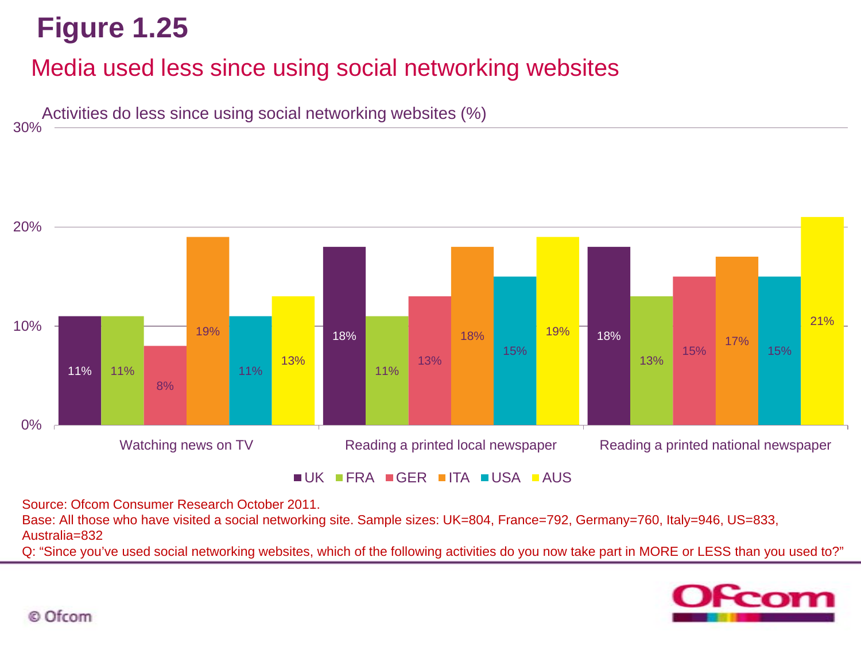30%

## Media used less since using social networking websites

Activities do less since using social networking websites (%)



Source: Ofcom Consumer Research October 2011.

Base: All those who have visited a social networking site. Sample sizes: UK=804, France=792, Germany=760, Italy=946, US=833, Australia=832

Q: "Since you've used social networking websites, which of the following activities do you now take part in MORE or LESS than you used to?"

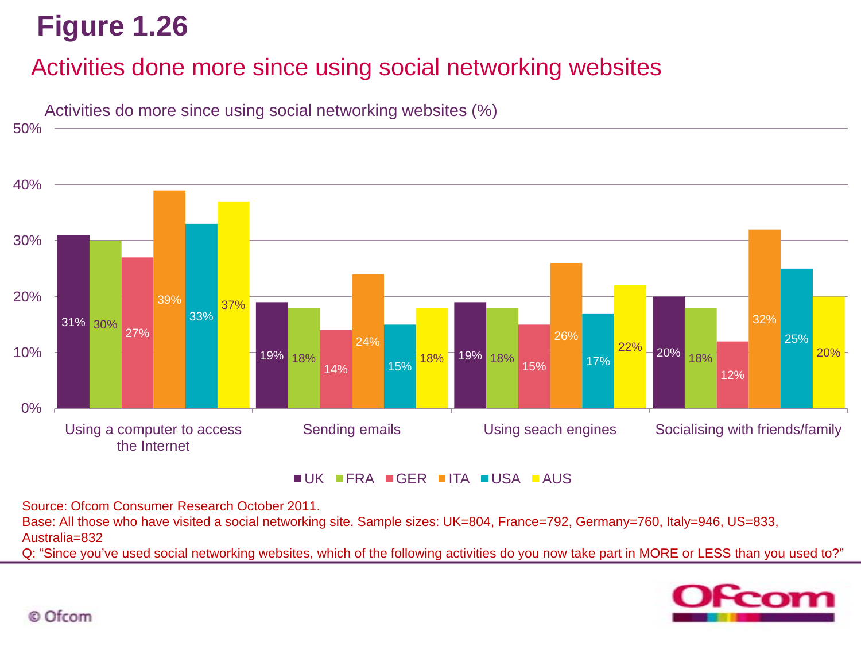### Activities done more since using social networking websites



UK FRA GER ITA USA AUS

Source: Ofcom Consumer Research October 2011.

Base: All those who have visited a social networking site. Sample sizes: UK=804, France=792, Germany=760, Italy=946, US=833, Australia=832

Q: "Since you've used social networking websites, which of the following activities do you now take part in MORE or LESS than you used to?"

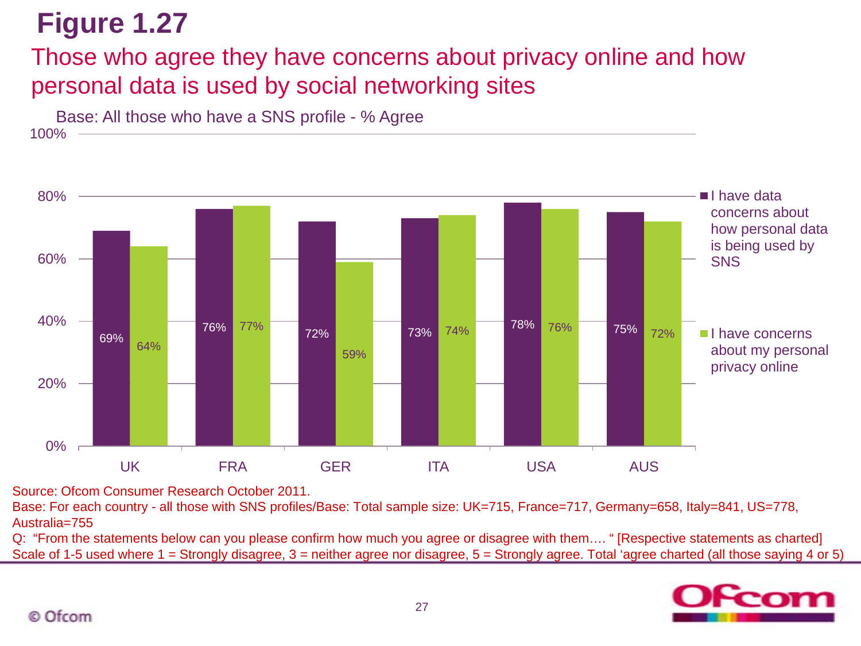## Those who agree they have concerns about privacy online and how personal data is used by social networking sites



100% Base: All those who have a SNS profile - % Agree

Source: Ofcom Consumer Research October 2011.

Base: For each country - all those with SNS profiles/Base: Total sample size: UK=715, France=717, Germany=658, Italy=841, US=778, Australia=755

Q: "From the statements below can you please confirm how much you agree or disagree with them…. " [Respective statements as charted] Scale of 1-5 used where 1 = Strongly disagree, 3 = neither agree nor disagree, 5 = Strongly agree. Total 'agree charted (all those saying 4 or 5)

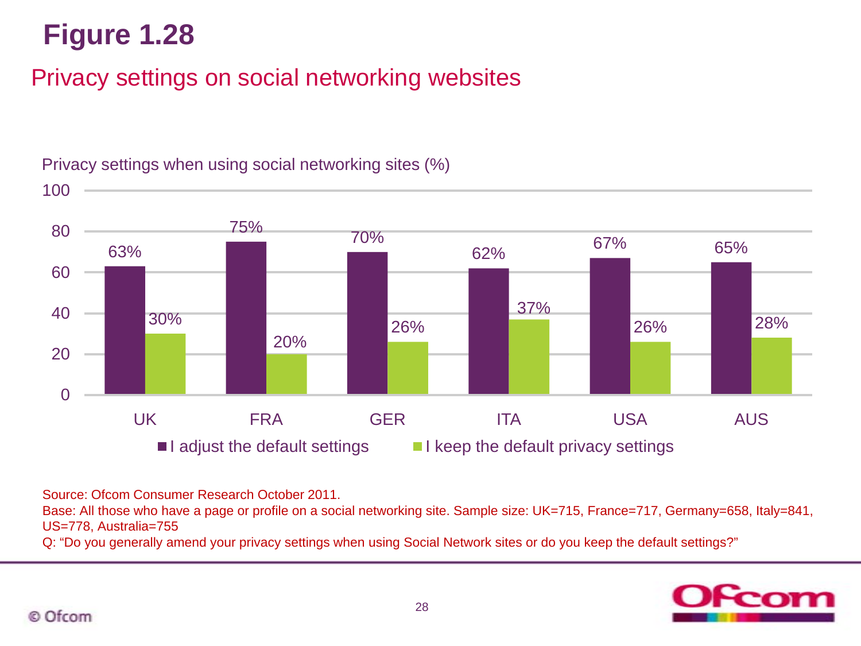## Privacy settings on social networking websites



Privacy settings when using social networking sites (%)

Source: Ofcom Consumer Research October 2011.

Base: All those who have a page or profile on a social networking site. Sample size: UK=715, France=717, Germany=658, Italy=841, US=778, Australia=755

Q: "Do you generally amend your privacy settings when using Social Network sites or do you keep the default settings?"

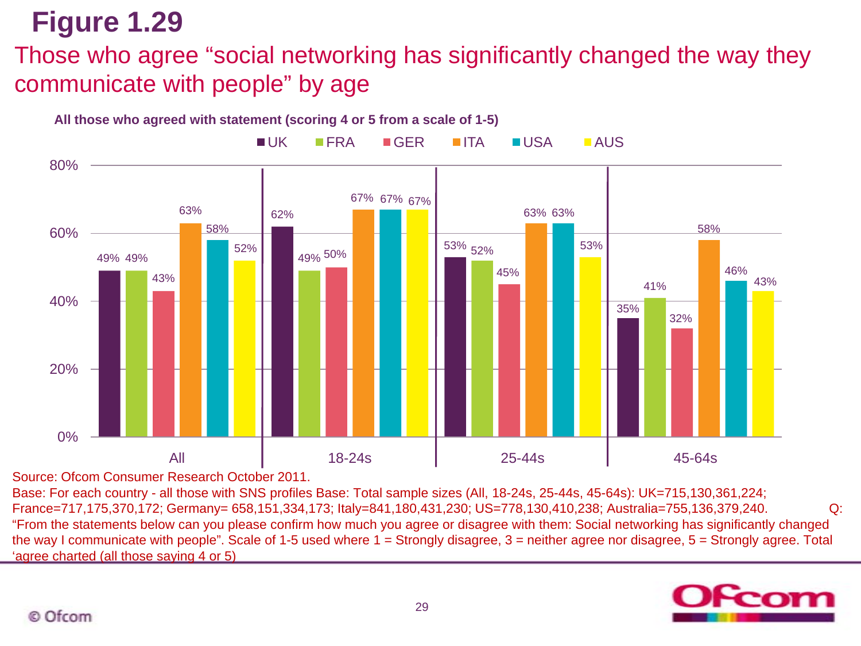Those who agree "social networking has significantly changed the way they communicate with people" by age



**All those who agreed with statement (scoring 4 or 5 from a scale of 1-5)**

Source: Ofcom Consumer Research October 2011.

Base: For each country - all those with SNS profiles Base: Total sample sizes (All, 18-24s, 25-44s, 45-64s): UK=715,130,361,224; France=717,175,370,172; Germany= 658,151,334,173; Italy=841,180,431,230; US=778,130,410,238; Australia=755,136,379,240. Q: "From the statements below can you please confirm how much you agree or disagree with them: Social networking has significantly changed the way I communicate with people". Scale of 1-5 used where 1 = Strongly disagree, 3 = neither agree nor disagree, 5 = Strongly agree. Total 'agree charted (all those saying 4 or 5)

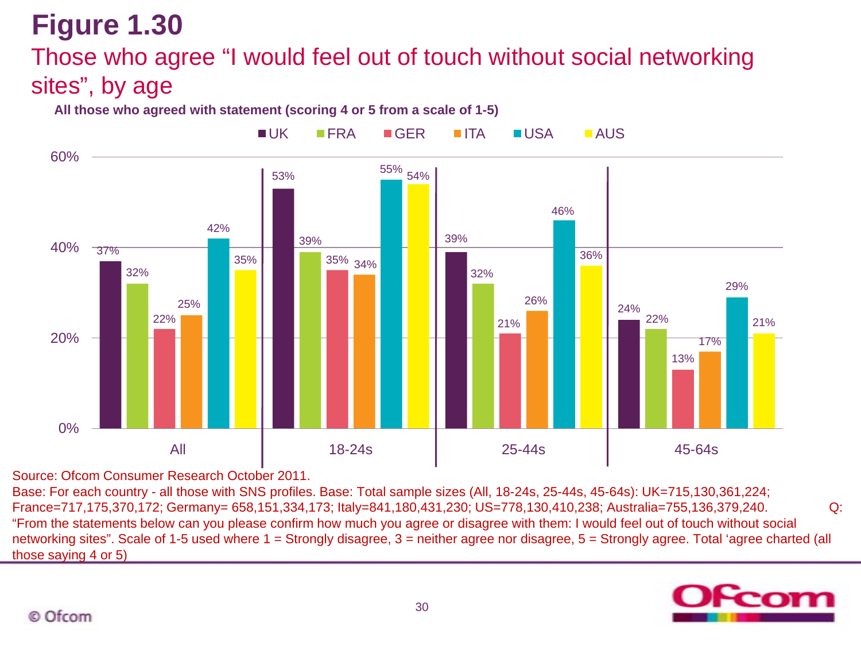## Those who agree "I would feel out of touch without social networking sites", by age

#### **All those who agreed with statement (scoring 4 or 5 from a scale of 1-5)**



Source: Ofcom Consumer Research October 2011.

Base: For each country - all those with SNS profiles. Base: Total sample sizes (All, 18-24s, 25-44s, 45-64s): UK=715,130,361,224; France=717,175,370,172; Germany= 658,151,334,173; Italy=841,180,431,230; US=778,130,410,238; Australia=755,136,379,240. Q: "From the statements below can you please confirm how much you agree or disagree with them: I would feel out of touch without social networking sites". Scale of 1-5 used where 1 = Strongly disagree, 3 = neither agree nor disagree, 5 = Strongly agree. Total 'agree charted (all those saying 4 or 5)

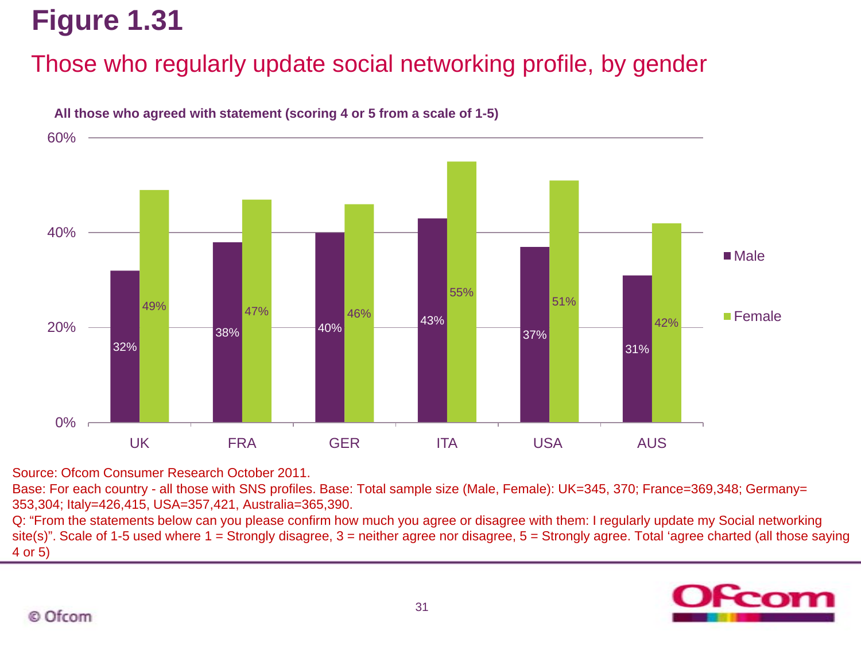## Those who regularly update social networking profile, by gender



#### **All those who agreed with statement (scoring 4 or 5 from a scale of 1-5)**

Source: Ofcom Consumer Research October 2011.

Base: For each country - all those with SNS profiles. Base: Total sample size (Male, Female): UK=345, 370; France=369,348; Germany= 353,304; Italy=426,415, USA=357,421, Australia=365,390.

Q: "From the statements below can you please confirm how much you agree or disagree with them: I regularly update my Social networking site(s)". Scale of 1-5 used where 1 = Strongly disagree, 3 = neither agree nor disagree, 5 = Strongly agree. Total 'agree charted (all those saying 4 or 5)

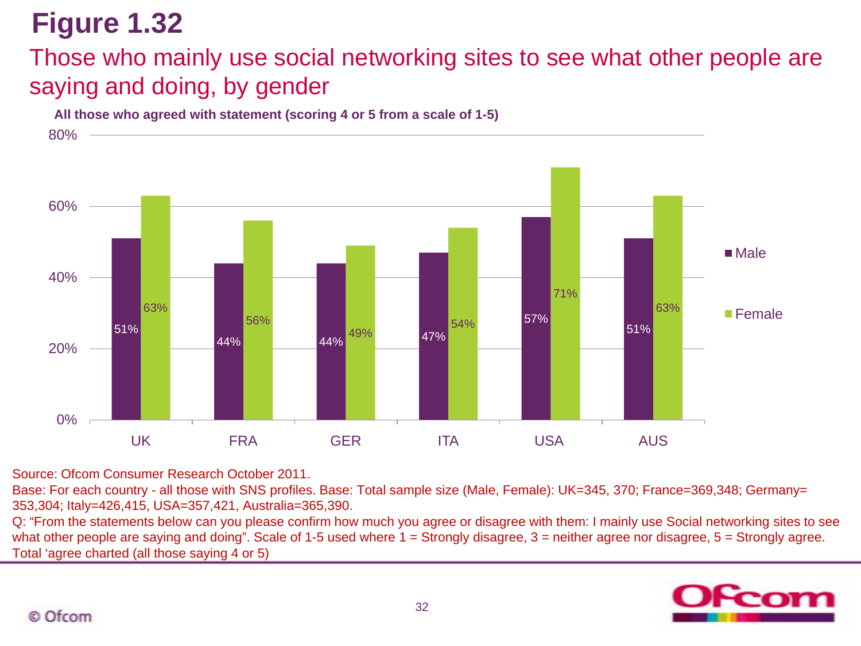## Those who mainly use social networking sites to see what other people are saying and doing, by gender

**All those who agreed with statement (scoring 4 or 5 from a scale of 1-5)**



Source: Ofcom Consumer Research October 2011.

Base: For each country - all those with SNS profiles. Base: Total sample size (Male, Female): UK=345, 370; France=369,348; Germany= 353,304; Italy=426,415, USA=357,421, Australia=365,390.

Q: "From the statements below can you please confirm how much you agree or disagree with them: I mainly use Social networking sites to see what other people are saying and doing". Scale of 1-5 used where  $1 =$  Strongly disagree, 3 = neither agree nor disagree, 5 = Strongly agree. Total 'agree charted (all those saying 4 or 5)

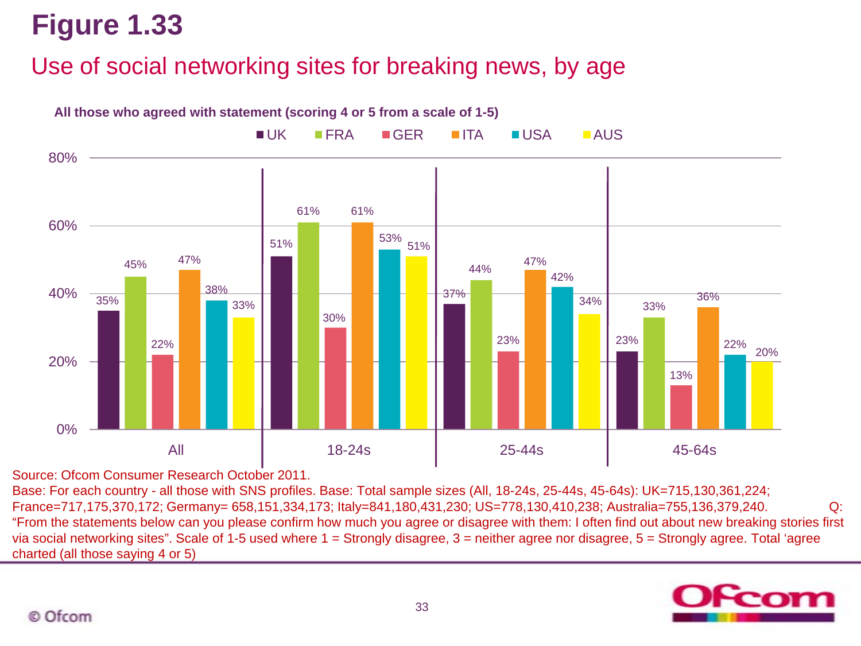## Use of social networking sites for breaking news, by age



Source: Ofcom Consumer Research October 2011.

Base: For each country - all those with SNS profiles. Base: Total sample sizes (All, 18-24s, 25-44s, 45-64s): UK=715,130,361,224; France=717,175,370,172; Germany= 658,151,334,173; Italy=841,180,431,230; US=778,130,410,238; Australia=755,136,379,240. Q: "From the statements below can you please confirm how much you agree or disagree with them: I often find out about new breaking stories first via social networking sites". Scale of 1-5 used where 1 = Strongly disagree, 3 = neither agree nor disagree, 5 = Strongly agree. Total 'agree charted (all those saying 4 or 5)

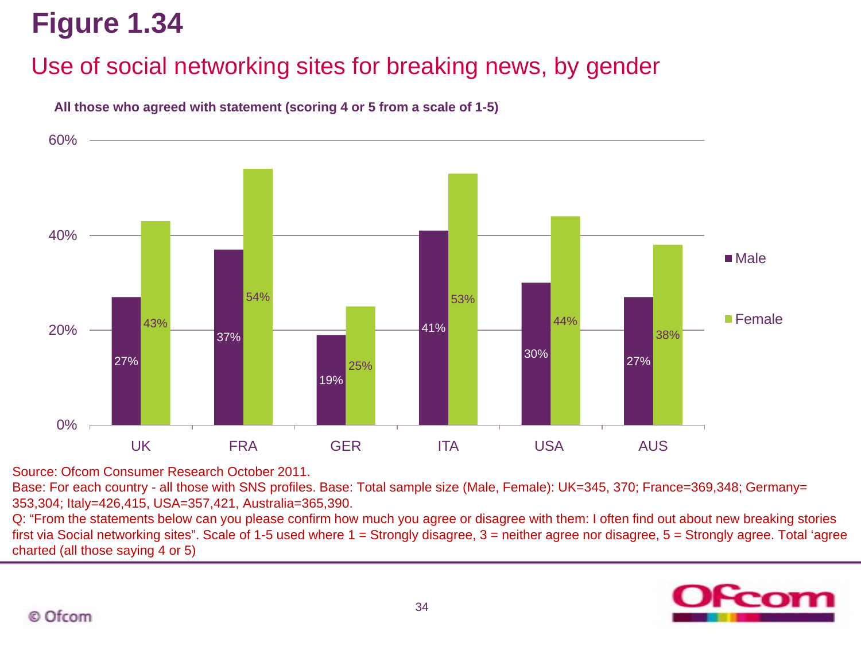## Use of social networking sites for breaking news, by gender



**All those who agreed with statement (scoring 4 or 5 from a scale of 1-5)**

Source: Ofcom Consumer Research October 2011.

Base: For each country - all those with SNS profiles. Base: Total sample size (Male, Female): UK=345, 370; France=369,348; Germany= 353,304; Italy=426,415, USA=357,421, Australia=365,390.

Q: "From the statements below can you please confirm how much you agree or disagree with them: I often find out about new breaking stories first via Social networking sites". Scale of 1-5 used where 1 = Strongly disagree, 3 = neither agree nor disagree, 5 = Strongly agree. Total 'agree charted (all those saying 4 or 5)

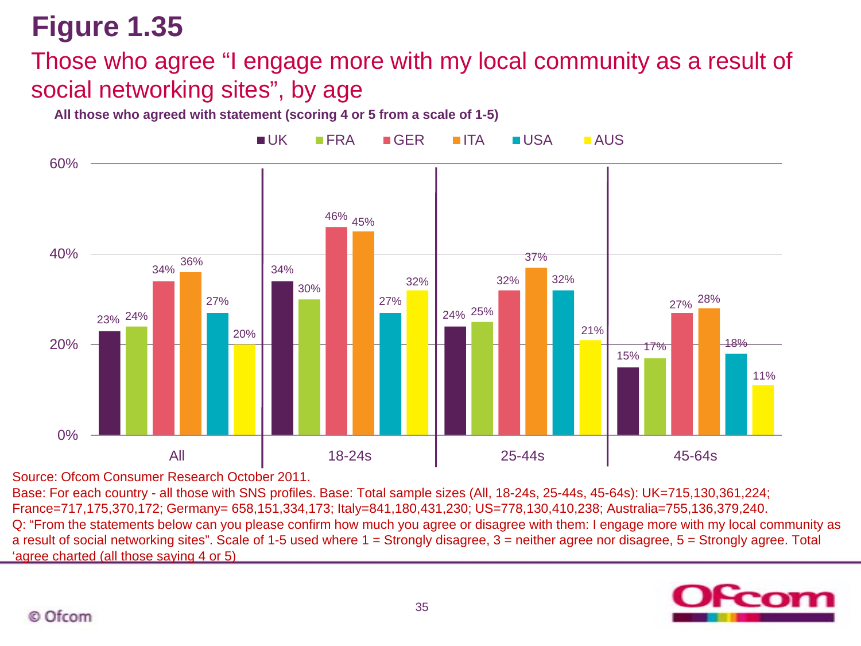### Those who agree "I engage more with my local community as a result of social networking sites", by age

**All those who agreed with statement (scoring 4 or 5 from a scale of 1-5)**



Source: Ofcom Consumer Research October 2011.

Base: For each country - all those with SNS profiles. Base: Total sample sizes (All, 18-24s, 25-44s, 45-64s): UK=715,130,361,224; France=717,175,370,172; Germany= 658,151,334,173; Italy=841,180,431,230; US=778,130,410,238; Australia=755,136,379,240. Q: "From the statements below can you please confirm how much you agree or disagree with them: I engage more with my local community as a result of social networking sites". Scale of 1-5 used where 1 = Strongly disagree, 3 = neither agree nor disagree, 5 = Strongly agree. Total 'agree charted (all those saying 4 or 5)

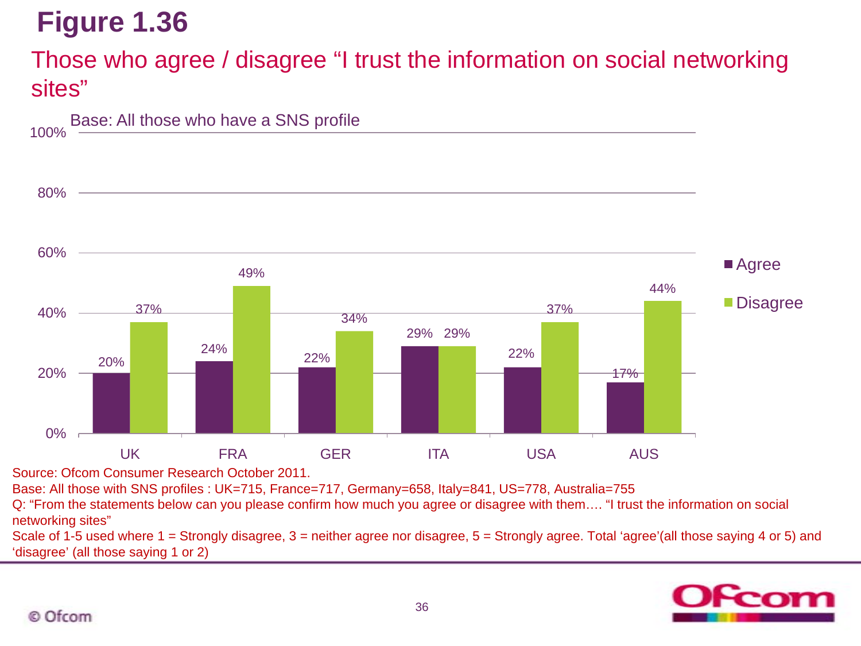### Those who agree / disagree "I trust the information on social networking sites"



Source: Ofcom Consumer Research October 2011.

Base: All those with SNS profiles : UK=715, France=717, Germany=658, Italy=841, US=778, Australia=755

Q: "From the statements below can you please confirm how much you agree or disagree with them…. "I trust the information on social networking sites"

Scale of 1-5 used where 1 = Strongly disagree, 3 = neither agree nor disagree, 5 = Strongly agree. Total 'agree'(all those saying 4 or 5) and 'disagree' (all those saying 1 or 2)

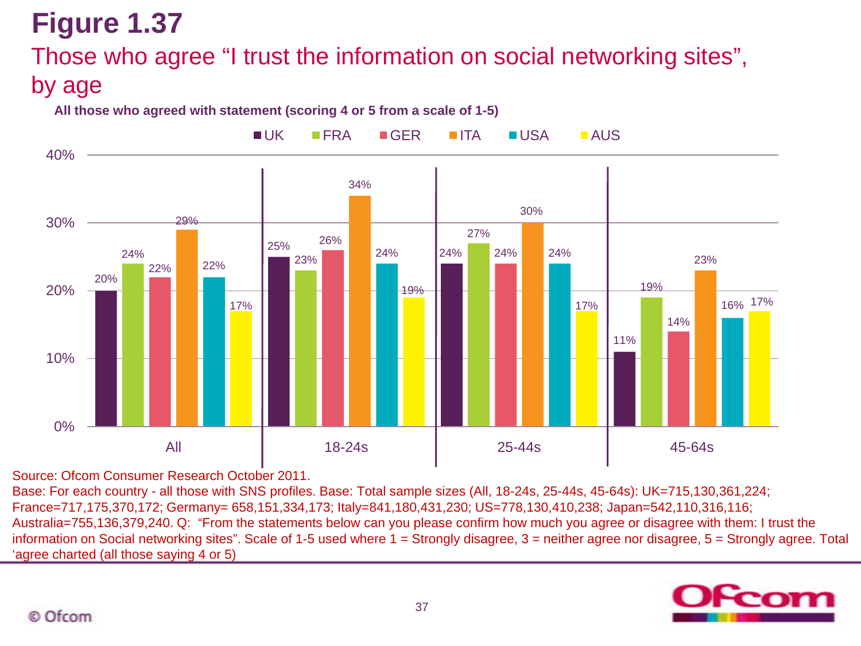## Those who agree "I trust the information on social networking sites", by age

#### **All those who agreed with statement (scoring 4 or 5 from a scale of 1-5)**



Source: Ofcom Consumer Research October 2011.

Base: For each country - all those with SNS profiles. Base: Total sample sizes (All, 18-24s, 25-44s, 45-64s): UK=715,130,361,224; France=717,175,370,172; Germany= 658,151,334,173; Italy=841,180,431,230; US=778,130,410,238; Japan=542,110,316,116; Australia=755,136,379,240. Q: "From the statements below can you please confirm how much you agree or disagree with them: I trust the information on Social networking sites". Scale of 1-5 used where 1 = Strongly disagree, 3 = neither agree nor disagree, 5 = Strongly agree. Total 'agree charted (all those saying 4 or 5)